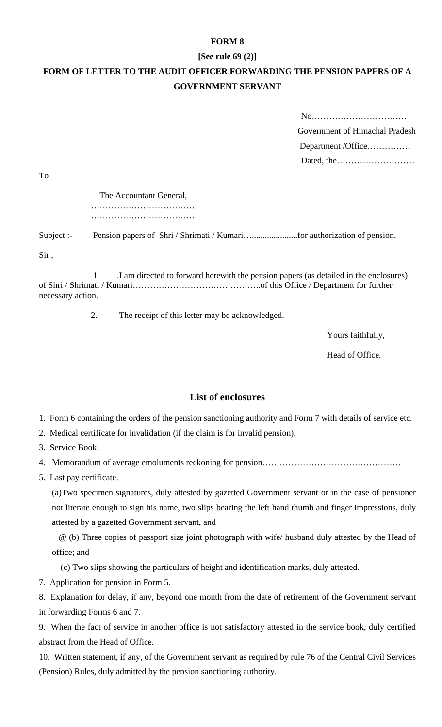## **FORM 8**

## **[See rule 69 (2)]**

## **FORM OF LETTER TO THE AUDIT OFFICER FORWARDING THE PENSION PAPERS OF A GOVERNMENT SERVANT**

| Government of Himachal Pradesh |
|--------------------------------|
| Department/Office              |
|                                |

To

 The Accountant General, ……………………………………… ……………………………………………

Subject :- Pension papers of Shri / Shrimati / Kumari….....................for authorization of pension.

Sir ,

 1 .I am directed to forward herewith the pension papers (as detailed in the enclosures) of Shri / Shrimati / Kumari…………………………….………..of this Office / Department for further necessary action.

2. The receipt of this letter may be acknowledged.

Yours faithfully,

Head of Office.

## **List of enclosures**

1. Form 6 containing the orders of the pension sanctioning authority and Form 7 with details of service etc.

- 2. Medical certificate for invalidation (if the claim is for invalid pension).
- 3. Service Book.
- 4. Memorandum of average emoluments reckoning for pension…………………………………………
- 5. Last pay certificate.

(a)Two specimen signatures, duly attested by gazetted Government servant or in the case of pensioner not literate enough to sign his name, two slips bearing the left hand thumb and finger impressions, duly attested by a gazetted Government servant, and

 @ (b) Three copies of passport size joint photograph with wife/ husband duly attested by the Head of office; and

(c) Two slips showing the particulars of height and identification marks, duly attested.

7. Application for pension in Form 5.

8. Explanation for delay, if any, beyond one month from the date of retirement of the Government servant in forwarding Forms 6 and 7.

9. When the fact of service in another office is not satisfactory attested in the service book, duly certified abstract from the Head of Office.

10. Written statement, if any, of the Government servant as required by rule 76 of the Central Civil Services (Pension) Rules, duly admitted by the pension sanctioning authority.